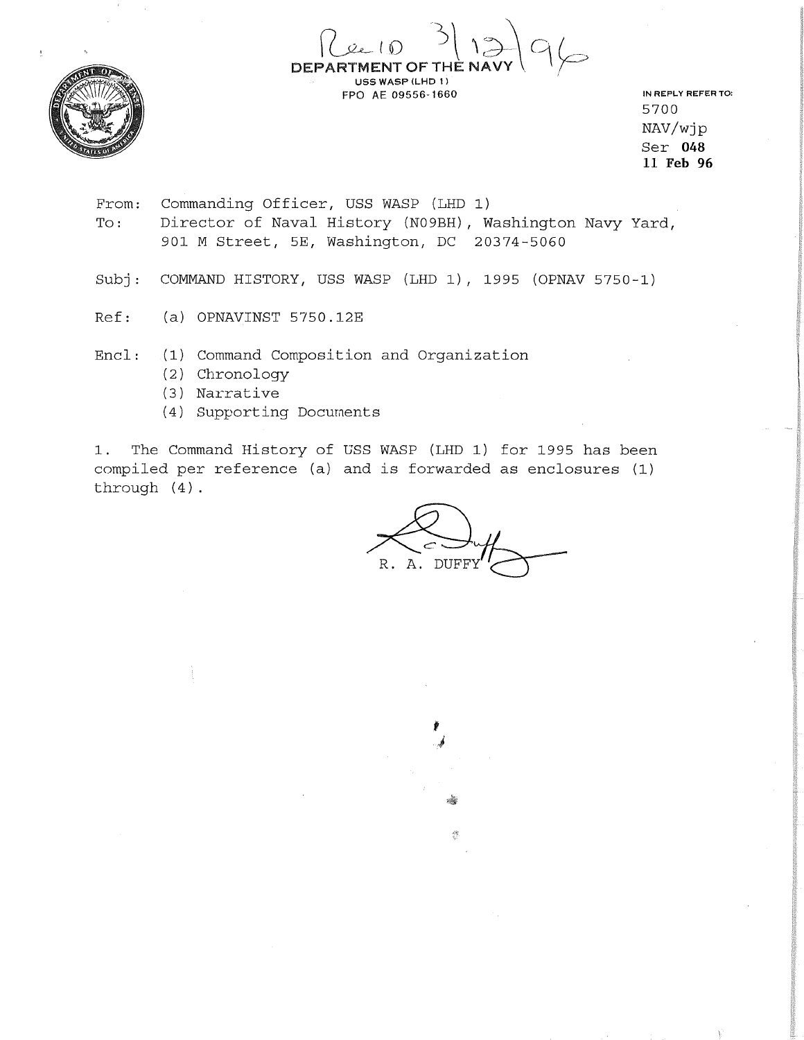

 $\int (240 - 3) 1396$ DEPARTMENT OF THE USS WASP (LHD 1)

IN REPLY REFER TO: 5700 NAV/wjp Ser **048 11 Feb 96** 

From: To: Commanding Officer, USS WASP (LHD 1) Director of Naval History (N09BH) , Washington Navy Yard, 901 M Street, 5E, Washington, DC 20374-5060

FPO AE 09556-1660

Subj: COMMAND HISTORY, USS WASP (LHD 1), 1995 (OPNAV 5750-1)

Ref: (a) OPNAVINST 5750.12E

Encl: (1) Command Composition and Organization

- (2) Chronology
- (3) Narrative
- (4) Supporting Documents

1. The Command History of USS WASP (LHD 1) for 1995 has been compiled per reference (a) and is forwarded as enclosures (1) through (4).

R. A. DUFF

I J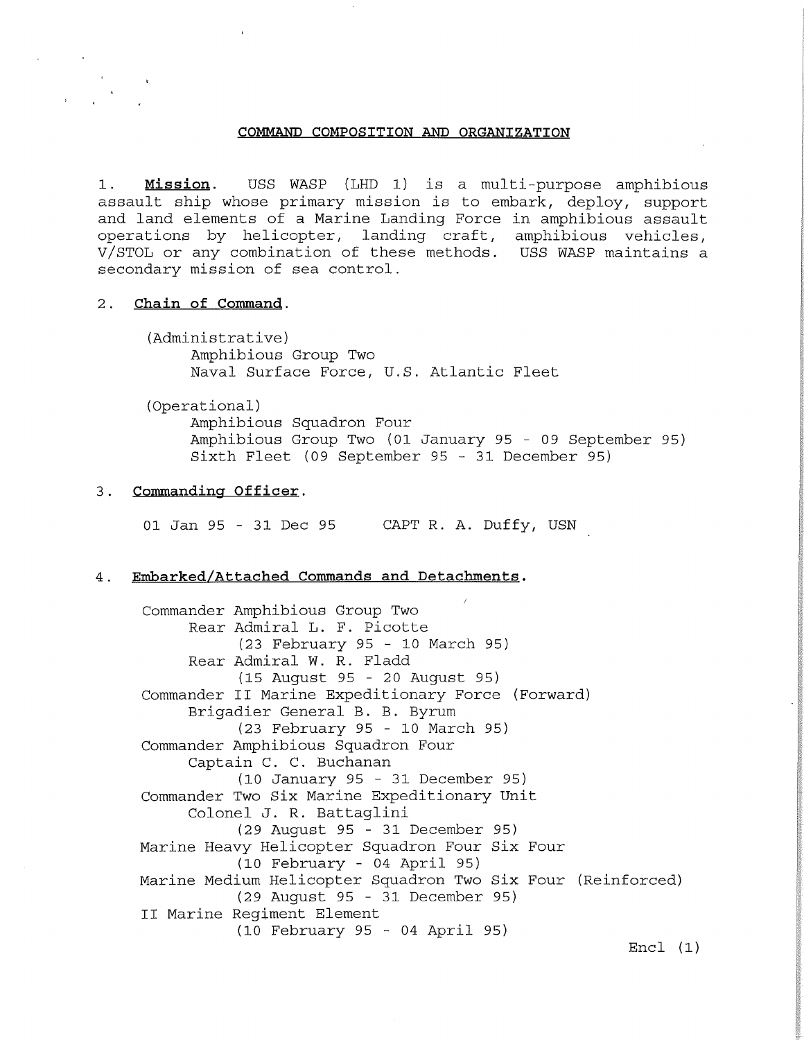#### **COMMAND COMPOSITION AND ORGANIZATION**

1. **Mission.** USS WASP (LHD 1) is a multi-purpose amphibious assault ship whose primary mission is to embark, deploy, support and land elements of a Marine Landing Force in amphibious assault operations by helicopter, landing craft, amphibious vehicles, V/STOL or any combination of these methods. USS WASP maintains a secondary mission of sea control.

## 2. Chain of Command.

(Administrative) Amphibious Group Two Naval Surface Force, U.S. Atlantic Fleet

(Operational)

Amphibious Squadron Four Amphibious Group Two (01 January 95 - 09 September 95) Sixth Fleet (09 September 95 - 31 December 95)

### 3. Commanding Officer.

01 Jan 95 - 31 Dec 95 CAPT R. A. Duffy, USN

### 4. **Embarked/Attached Commands and Detachments.**

Commander Amphibious Group Two Rear Admiral L. F. Picotte (23 February 95 - 10 March 95) Rear Admiral W. R. Fladd (15 August 95 - 20 August 95) Commander II Marine Expeditionary Force (Forward) Brigadier General B. B. Byrum (23 February 95 - 10 March 95) Commander Amphibious Squadron Four Captain C. C. Buchanan (10 January 95 - 31 December 95) Commander Two Six Marine Expeditionary Unit Colonel J. R. Battaglini (29 August 95 - 31 December 95) Marine Heavy Helicopter Squadron Four Six Four (10 February - 04 April 95) Marine Medium Helicopter Squadron Two Six Four (Reinforced) (29 August 95 - 31 December 95) II Marine Regiment Element (10 February 95 - 04 April 95)

Encl (1)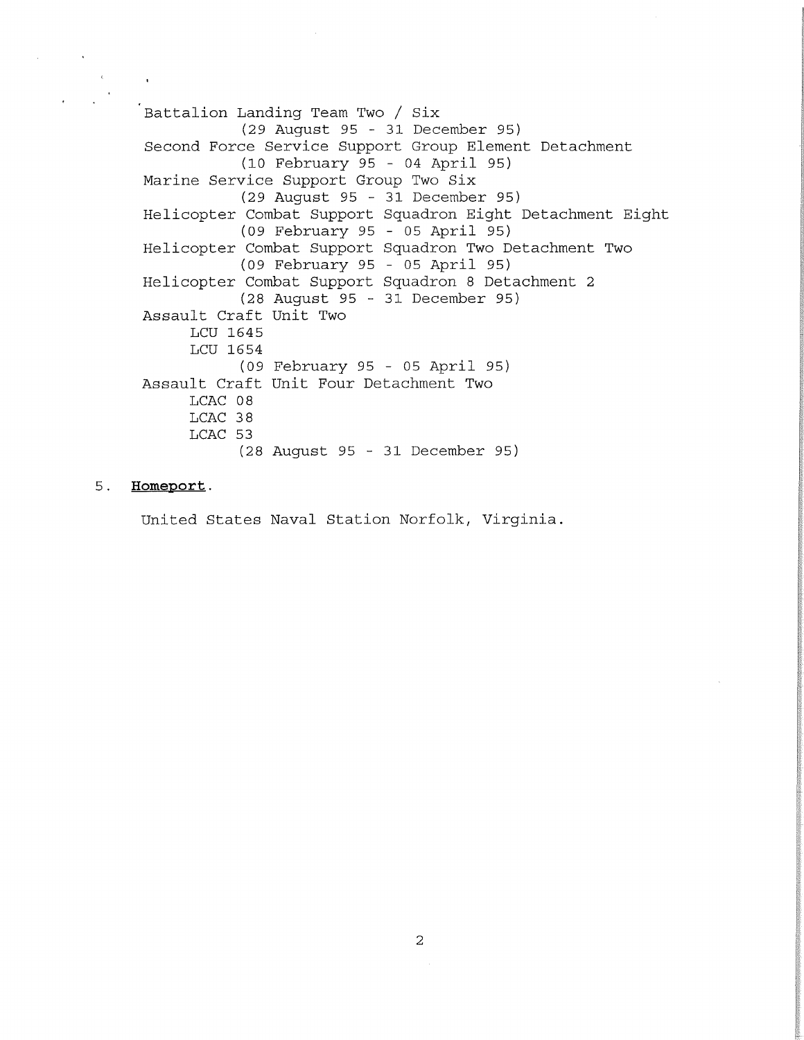Battalion Landing Team Two / Six (29 August 95 - 31 December 95) Second Force Service Support Group Element Detachment (10 February 95 - 04 April 95) Marine Service Support Group Two Six (29 August 95 - 31 December 95) Helicopter Combat Support Squadron Eight Detachment Eight (09 February 95 - 05 April 95) Helicopter Combat Support Squadron Two Detachment Two (09 February 95 - 05 April 95) Helicopter Combat Support Squadron 8 Detachment 2 (28 August 95 - 31 December 95) Assault Craft Unit Two LCU 1645 LCU 1654 (09 February 95 - 05 April 95) Assault Craft Unit Four Detachment Two LCAC 08 LCAC 38 LCAC 53 (28 August 95 - 31 December 95)

# 5. **Homeport.**

United States Naval Station Norfolk, Virginia.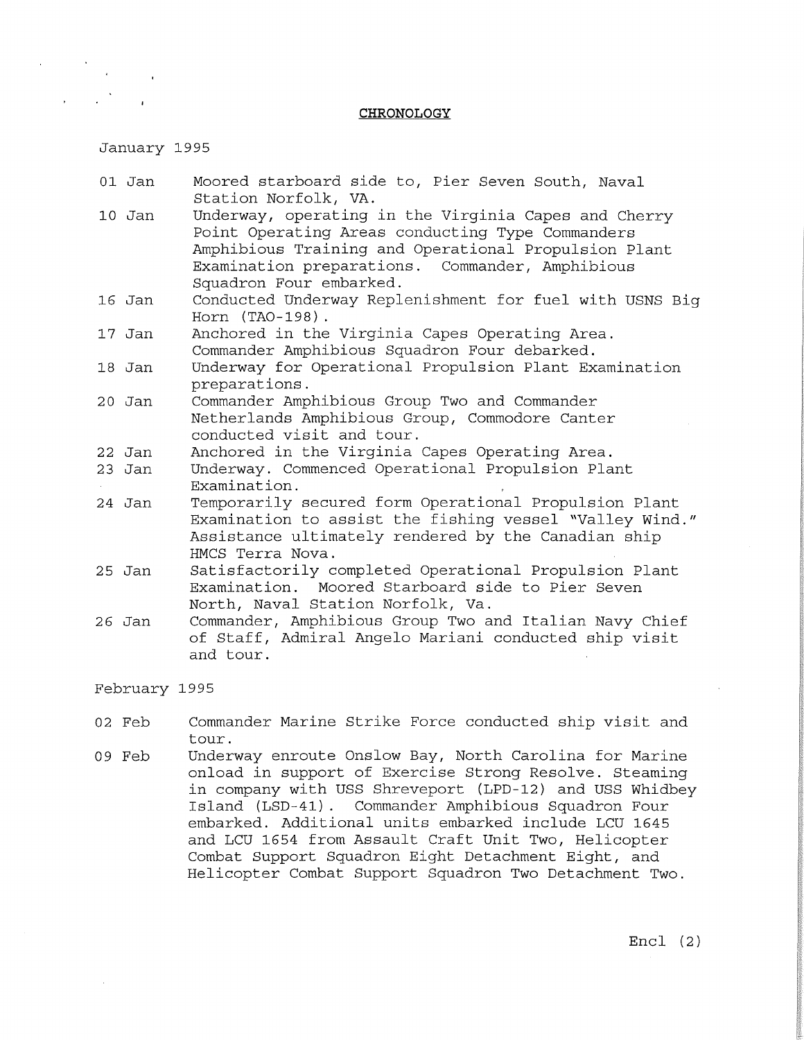### **CHRONOLOGY**

January 1995

- 01 Jan Moored starboard side to, Pier Seven South, Naval Station Norfolk, VA.
- 10 Jan Underway, operating in the Virginia Capes and Cherry Point Operating Areas conducting Type Commanders Amphibious Training and Operational Propulsion Plant Examination preparations. Commander, Amphibious Squadron Four embarked.
- 16 Jan Conducted Underway Replenishment for fuel with USNS Big Horn (TA0-198) .
- 17 Jan Anchored in the Virginia Capes Operating Area. Commander Amphibious Squadron Four debarked.
- 18 Jan Underway for Operational Propulsion Plant Examination preparations.
- 20 Jan Commander Amphibious Group Two and Commander Netherlands Amphibious Group, Commodore Canter conducted visit and tour.
- 22 Jan Anchored in the Virginia Capes Operating Area.
- 23 Jan Underway. Commenced Operational Propulsion Plant Examination.
- 24 Jan Temporarily secured form Operational Propulsion Plant Examination to assist the fishing vessel "Valley Wind." Assistance ultimately rendered by the Canadian ship HMCS Terra Nova.
- 25 Jan Satisfactorily completed Operational Propulsion Plant Examination. Moored Starboard side to Pier Seven North, Naval Station Norfolk, Va.
- 26 Jan Commander, Amphibious Group Two and Italian Navy Chief of Staff, Admiral Angelo Mariani conducted ship visit and tour.

February 1995

- 02 Feb Commander Marine Strike Force conducted ship visit and tour.
- 09 Feb Underway enroute Onslow Bay, North Carolina for Marine onload in support of Exercise Strong Resolve. Steaming in company with USS Shreveport (LPD-12) and USS Whidbey Island (LSD-41) . Commander Amphibious Squadron Four embarked. Additional units embarked include LCU 1645 and LCU 1654 from Assault Craft Unit Two, Helicopter Combat Support Squadron Eight Detachment Eight, and Helicopter Combat Support Squadron Two Detachment Two.

Encl (2)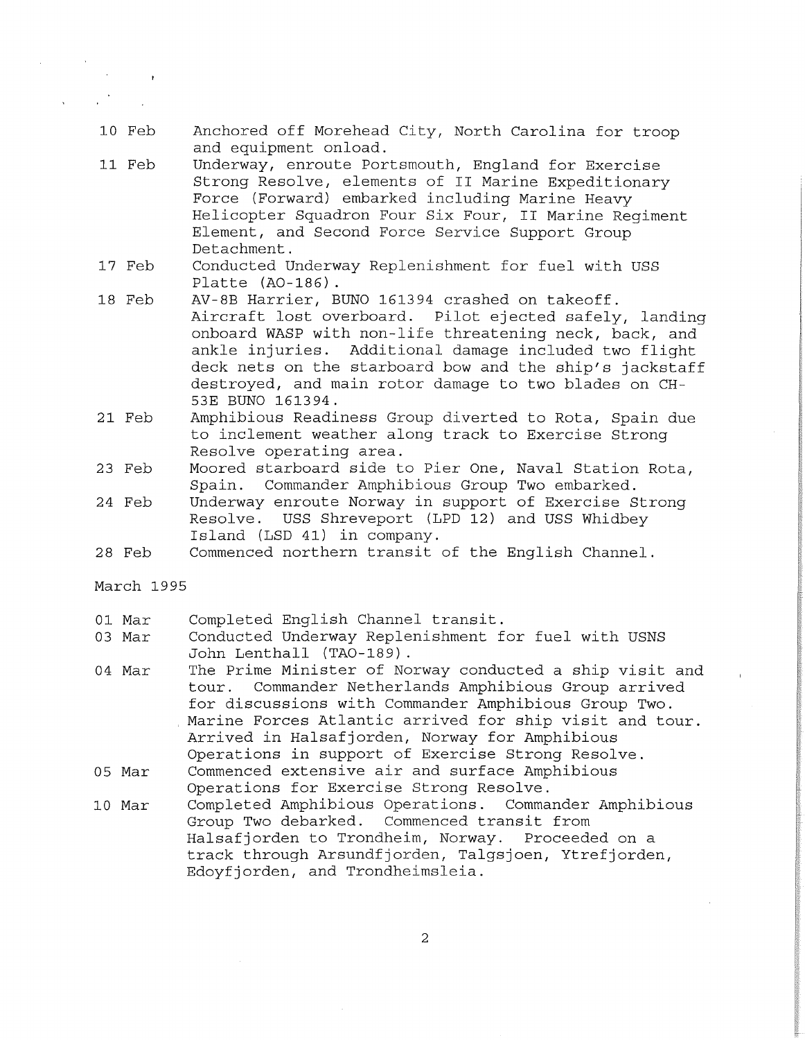- 10 Feb Anchored off Morehead City, North Carolina for troop and equipment onload.
- 11 Feb Underway, enroute Portsmouth, England for Exercise Strong Resolve, elements of II Marine Expeditionary Force (Forward) embarked including Marine Heavy Helicopter Squadron Four Six Four, II Marine Regiment Element, and Second Force Service Support Group Detachment.
- 17 Feb Conducted Underway Replenishment for fuel with USS Platte (A0-186) .
- 18 Feb AV-SB Harrier, BUNO 161394 crashed on takeoff. Aircraft lost overboard. Pilot ejected safely, landing onboard WASP with non-life threatening neck, back, and ankle injuries. Additional damage included two flight deck nets on the starboard bow and the ship's jackstaff destroyed, and main rotor damage to two blades on CH-53E BUNO 161394.
- 21 Feb Amphibious Readiness Group diverted to Rota, Spain due to inclement weather along track to Exercise Strong Resolve operating area.
- 23 Feb Moored starboard side to Pier One, Naval Station Rota, Spain. Commander Amphibious Group Two embarked.
- 24 Feb Underway enroute Norway in support of Exercise Strong Resolve. USS Shreveport (LPD 12) and USS Whidbey Island (LSD 41) in company.
- 28 Feb Commenced northern transit of the English Channel.

March 1995

- 01 Mar Completed English Channel transit.
- 03 Mar Conducted Underway Replenishment for fuel with USNS John Lenthall (TA0-189) .
- 04 Mar The Prime Minister of Norway conducted a ship visit and<br>tour. Commander Netherlands Amphibious Group arrived Commander Netherlands Amphibious Group arrived for discussions with Commander Amphibious Group Two. Marine Forces Atlantic arrived for ship visit and tour. Arrived in Halsafjorden, Norway for Amphibious Operations in support of Exercise Strong Resolve.
- 05 Mar Commenced extensive air and surface Amphibious Operations for Exercise Strong Resolve.
- 10 Mar Completed Amphibious Operations. Commander Amphibious Group Two debarked. Commenced transit from Halsafjorden to Trondheim, Norway. Proceeded on a track through Arsundfjorden, Talgsjoen, Ytrefjorden, Edoyfjorden, and Trondheimsleia.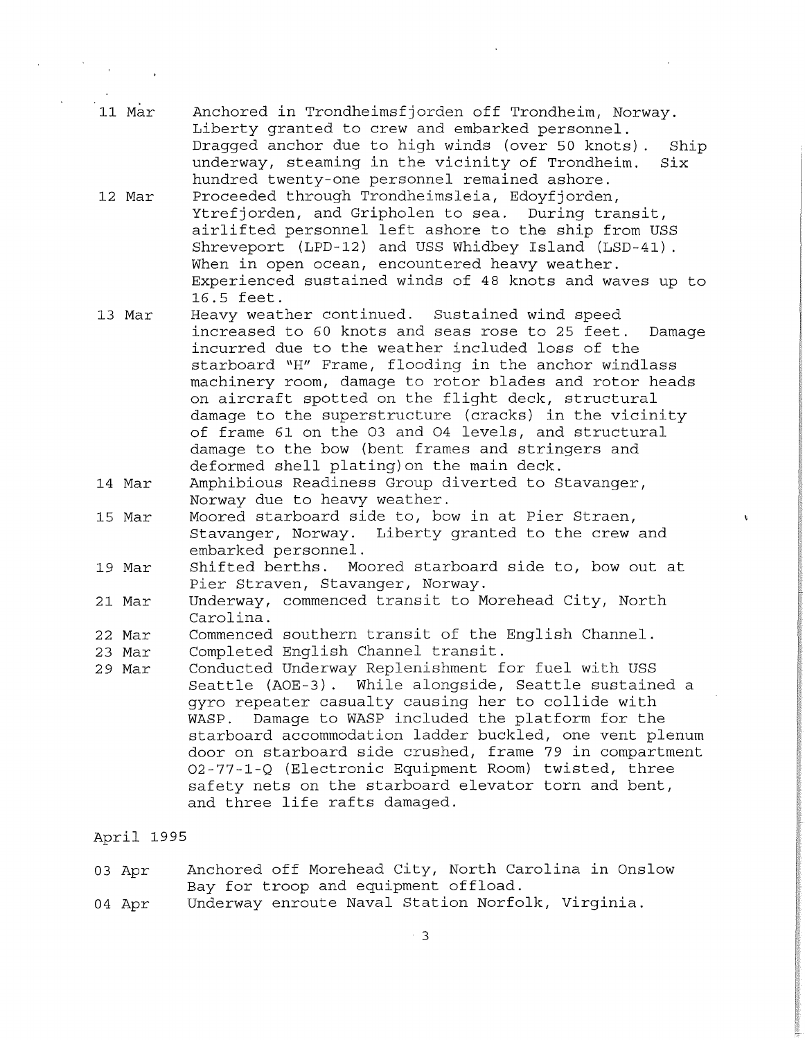- 11 Mar Anchored in Trondheimsfjorden off Trondheim, Norway. Liberty granted to crew and embarked personnel. Dragged anchor due to high winds (over 50 knots) . Ship underway, steaming in the vicinity of Trondheim. Six hundred twenty-one personnel remained ashore.
- 12 Mar Proceeded through Trondheimsleia, Edoyfjorden, Ytrefjorden, and Gripholen to sea. During transit, airlifted personnel left ashore to the ship from USS Shreveport (LPD-12) and USS Whidbey Island (LSD-41) . When in open ocean, encountered heavy weather. Experienced sustained winds of 48 knots and waves up to 16.5 feet.
- 13 Mar Heavy weather continued. Sustained wind speed increased to 60 knots and seas rose to 25 feet. Damage incurred due to the weather included loss of the starboard "H" Frame, flooding in the anchor windlass machinery room, damage to rotor blades and rotor heads on aircraft spotted on the flight deck, structural damage to the superstructure (cracks) in the vicinity of frame 61 on the 03 and 04 levels, and structural damage to the bow (bent frames and stringers and deformed shell plating) on the main deck.
- 14 Mar Amphibious Readiness Group diverted to Stavanger, Norway due to heavy weather.
- 15 Mar Moored starboard side to, bow in at Pier Straen, Stavanger, Norway. Liberty granted to the crew and embarked personnel.
- 19 Mar Shifted berths. Moored starboard side to, bow out at Pier Straven, Stavanger, Norway.
- 21 Mar Underway, commenced transit to Morehead City, North Carolina.
- 22 Mar Commenced southern transit of the English Channel.
- 23 Mar Completed English Channel transit.
- 29 Mar Conducted Underway Replenishment for fuel with USS Seattle (AOE-3). While alongside, Seattle sustained a gyro repeater casualty causing her to collide with WASP. Damage to WASP included the platform for the starboard accommodation ladder buckled, one vent plenum door on starboard side crushed, frame 79 in compartment 02-77-1-Q (Electronic Equipment Room) twisted, three safety nets on the starboard elevator torn and bent, and three life rafts damaged.

## April 1995

|  | 03 Apr |  |  |  |                                      | Anchored off Morehead City, North Carolina in Onslow |  |
|--|--------|--|--|--|--------------------------------------|------------------------------------------------------|--|
|  |        |  |  |  | Bay for troop and equipment offload. |                                                      |  |

04 Apr Underway enroute Naval Station Norfolk, Virginia.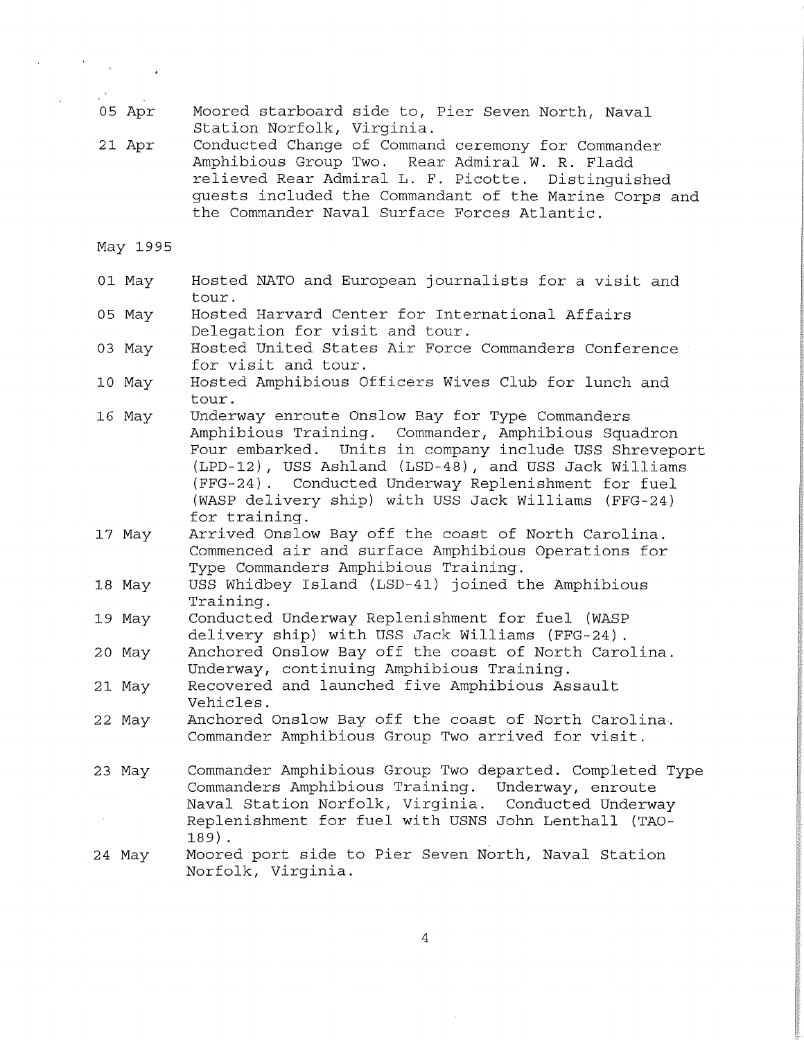- 05 Apr Moored starboard side to, Pier Seven North, Naval Station Norfolk, Virginia.
- 21 Apr Conducted Change of Command ceremony for Commander Amphibious Group Two. Rear Admiral W. R. Fladd relieved Rear Admiral L. F. Picotte. Distinguished guests included the Commandant of the Marine Corps and the Commander Naval Surface Forces Atlantic.

May 1995

- 01 May Hosted NATO and European journalists for a visit and tour.
- 05 May Hosted Harvard Center for International Affairs Delegation for visit and tour.
- 03 May Hosted United States Air Force Commanders Conference for visit and tour.
- 10 May Hosted Amphibious Officers Wives Club for lunch and tour.
- 16 May Underway enroute Onslow Bay for Type Commanders Amphibious Training. Commander, Amphibious Squadron Four embarked. Units in company include USS Shreveport (LPD-12), USS Ashland (LSD-48), and USS Jack Williams (FFG-24) . Conducted Underway Replenishment for fuel (WASP delivery ship) with USS Jack Williams (FFG-24) for training.
- 17 May Arrived Onslow Bay off the coast of North Carolina. Commenced air and surf ace Amphibious Operations for Type Commanders Amphibious Training.
- 18 May USS Whidbey Island (LSD-41) joined the Amphibious Training.
- 19 May Conducted Underway Replenishment for fuel (WASP delivery ship) with USS Jack Williams (FFG-24) .
- 20 May Anchored Onslow Bay off the coast of North Carolina. Underway, continuing Amphibious Training.
- 21 May Recovered and launched five Amphibious Assault Vehicles.
- 22 May Anchored Onslow Bay off the coast of North Carolina. Commander Amphibious Group Two arrived for visit.
- 23 May Commander Amphibious Group Two departed. Completed Type Commanders Amphibious Training. Underway, enroute Naval Station Norfolk, Virginia. Conducted Underway Replenishment for fuel with USNS John Lenthall (TA0- 189) .
- 24 May Moored port side to Pier Seven North, Naval Station Norfolk, Virginia.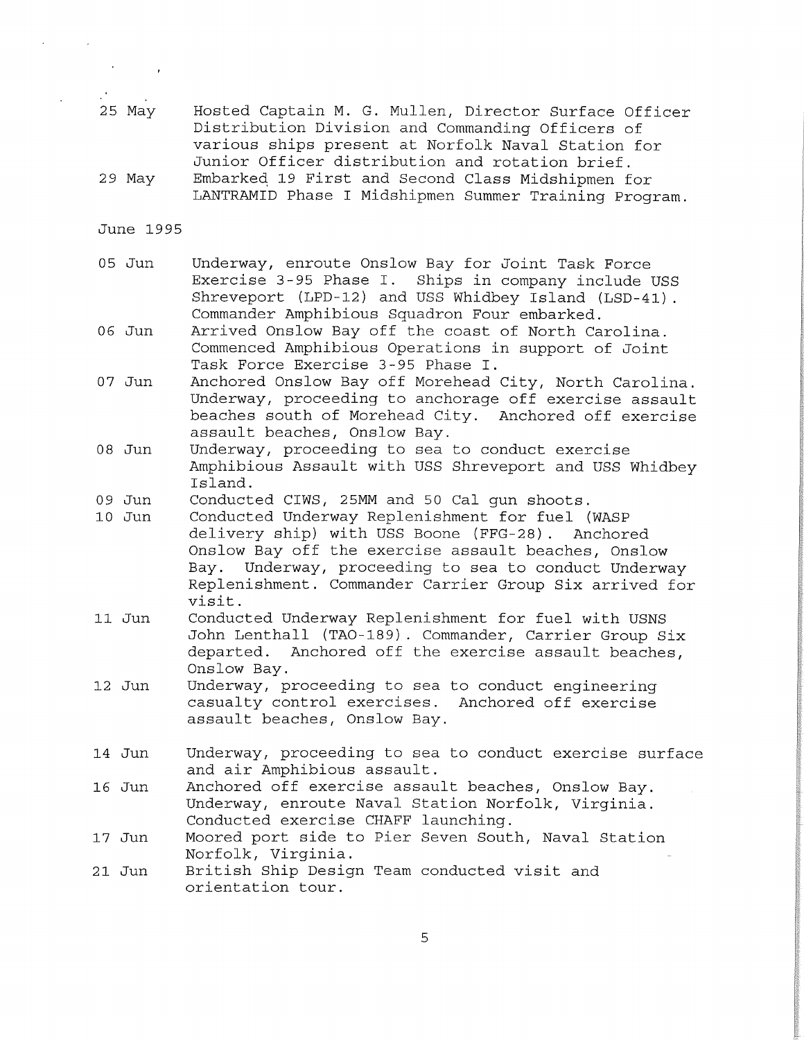- 25 May Hosted Captain M. G. Mullen, Director Surface Officer Distribution Division and Commanding Officers of various ships present at Norfolk Naval Station for Junior Officer distribution and rotation brief.
- 29 May Embarkeq 19 First and Second Class Midshipmen for LANTRAMID Phase I Midshipmen Summer Training Program.

June 1995

- 05 Jun Underway, enroute Onslow Bay for Joint Task Force Exercise 3-95 Phase I. Ships in company include USS Shreveport (LPD-12) and USS Whidbey Island (LSD-41) . Commander Amphibious Squadron Four embarked.
- 06 Jun Arrived Onslow Bay off the coast of North Carolina. Commenced Amphibious Operations in support of Joint Task Force Exercise 3-95 Phase I.
- 07 Jun Anchored Onslow Bay off Morehead City, North Carolina. Underway, proceeding to anchorage off exercise assault beaches south of Morehead City. Anchored off exercise assault beaches, Onslow Bay.
- 08 Jun Underway, proceeding to sea to conduct exercise Amphibious Assault with USS Shreveport and USS Whidbey Island.
- 09 Jun Conducted CIWS, 25MM and 50 Cal gun shoots.
- 10 Jun Conducted Underway Replenishment for fuel (WASP delivery ship) with USS Boone (FFG-28) . Anchored Onslow Bay off the exercise assault beaches, Onslow Bay. Underway, proceeding to sea to conduct Underway Replenishment. Commander Carrier Group Six arrived for visit.
- 11 Jun Conducted Underway Replenishment for fuel with USNS John Lenthall (TA0-189). Commander, Carrier Group Six departed. Anchored off the exercise assault beaches, Onslow Bay.
- 12 Jun Underway, proceeding to sea to conduct engineering casualty control exercises. Anchored off exercise assault beaches, Onslow Bay.
- 14 Jun Underway, proceeding to sea to conduct exercise surface and air Amphibious assault.
- 16 Jun Anchored off exercise assault beaches, Onslow Bay. Underway, enroute Naval Station Norfolk, Virginia. Conducted exercise CHAFF launching.
- 17 Jun Moored port side to Pier Seven South, Naval Station Norfolk, Virginia.
- 21 Jun British Ship Design Team conducted visit and orientation tour.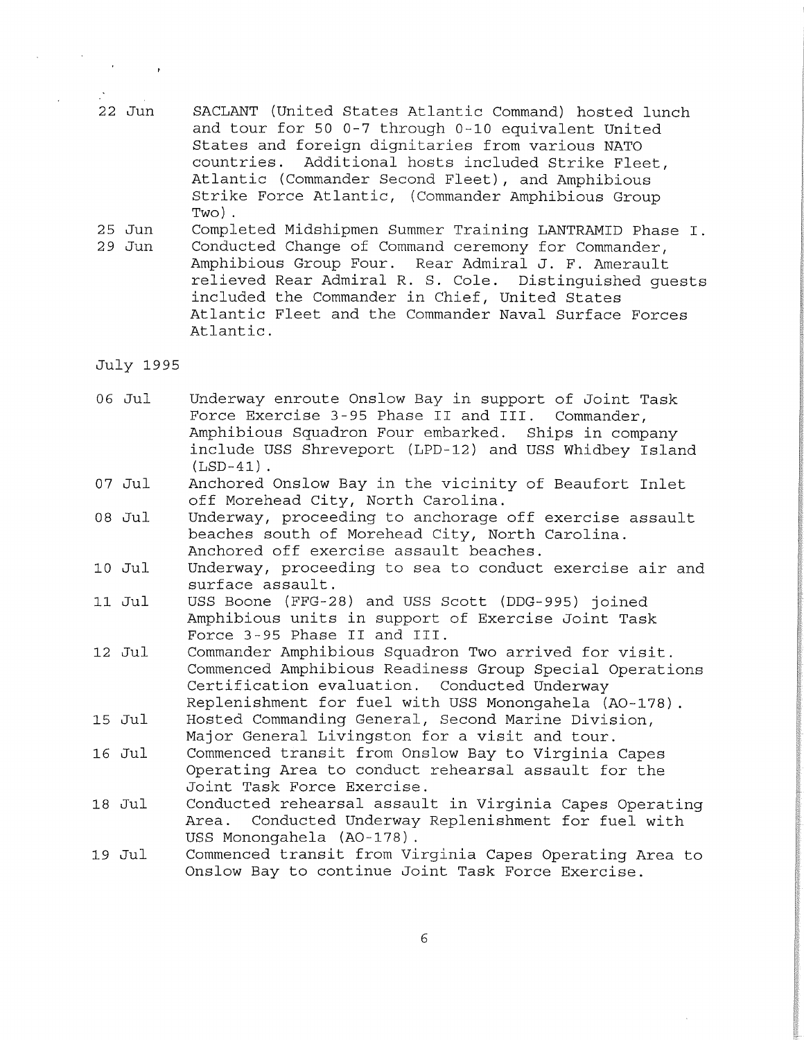- 22 Jun SACLANT (United States Atlantic Command) hosted lunch and tour for 50 0-7 through 0-10 equivalent United States and foreign dignitaries from various NATO countries. Additional hosts included Strike Fleet, Atlantic (Commander Second Fleet), and Amphibious Strike Force Atlantic, (Commander Amphibious Group Two).
- 25 Jun 29 Jun Completed Midshipmen Summer Training LANTRAMID Phase I. Conducted Change of Command ceremony for Commander, Amphibious Group Four. Rear Admiral J. F. Amerault relieved Rear Admiral R. S. Cole. Distinguished guests included the Commander in Chief, United States Atlantic Fleet and the Commander Naval Surface Forces Atlantic.

July 1995

- 06 Jul Underway enroute Onslow Bay in support of Joint Task Force Exercise 3-95 Phase II and III. Commander, Amphibious Squadron Four embarked. Ships in company include USS Shreveport (LPD-12) and USS Whidbey Island  $(LSD-41)$ .
- 07 Jul Anchored Onslow Bay in the vicinity of Beaufort Inlet off Morehead City, North Carolina.
- 08 Jul Underway, proceeding to anchorage off exercise assault beaches south of Morehead City, North Carolina. Anchored off exercise assault beaches.
- 10 Jul Underway, proceeding to sea to conduct exercise air and surface assault.
- 11 Jul USS Boone (FFG-28) and USS Scott (DDG-995) joined Amphibious units in support of Exercise Joint Task Force 3-95 Phase II and III.
- 12 Jul Commander Amphibious Squadron Two arrived for visit. Commenced Amphibious Readiness Group Special Operations Certification evaluation. Conducted Underway Replenishment for fuel with USS Monongahela (A0-178)
- 15 Jul Hosted Commanding General, Second Marine Division, Major General Livingston for a visit and tour.
- 16 Jul Commenced transit from Onslow Bay to Virginia Capes Operating Area to conduct rehearsal assault for the Joint Task Force Exercise.
- 18 Jul Conducted rehearsal assault in Virginia Capes Operating Area. Conducted Underway Replenishment for fuel with USS Monongahela (A0-178).
- 19 Jul Commenced transit from Virginia Capes Operating Area to Onslow Bay to continue Joint Task Force Exercise.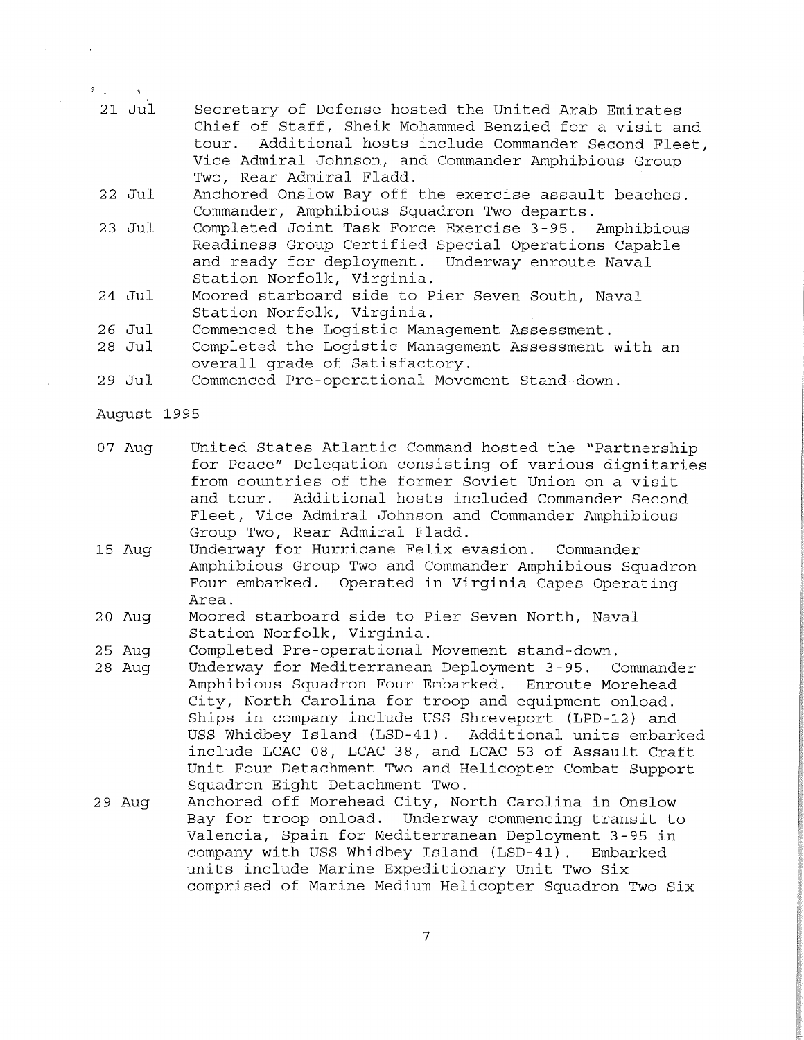- 21 Jul Secretary of Defense hosted the United Arab Emirates Chief of Staff, Sheik Mohammed Benzied for a visit and<br>tour. Additional hosts include Commander Second Fleet. Additional hosts include Commander Second Fleet, Vice Admiral Johnson, and Commander Amphibious Group Two, Rear Admiral Fladd.
- 22 Jul Anchored Onslow Bay off the exercise assault beaches. Commander, Amphibious Squadron Two departs.
- 23 Jul Completed Joint Task Force Exercise 3-95. Amphibious Readiness Group Certified Special Operations Capable and ready for deployment. Underway enroute Naval Station Norfolk, Virginia.
- 24 Jul Moored starboard side to Pier Seven South, Naval Station Norfolk, Virginia.
- 26 Jul Commenced the Logistic Management Assessment.
- 28 Jul Completed the Logistic Management Assessment with an overall grade of Satisfactory.
- 29 Jul Commenced Pre-operational Movement Stand-down.
- August 1995

 $\mathcal{F}$  , we have  $\mathcal{F}$ 

- 07 Aug United States Atlantic Command hosted the "Partnership for Peace" Delegation consisting of various dignitaries from countries of the former Soviet Union on a visit<br>and tour. Additional hosts included Commander Secone Additional hosts included Commander Second Fleet, Vice Admiral Johnson and Commander Amphibious Group Two, Rear Admiral Fladd.
- 15 Aug Underway for Hurricane Felix evasion. Commander Amphibious Group Two and Commander Amphibious Squadron Four embarked. Operated in Virginia Capes Operating Area.
- 20 Aug Moored starboard side to Pier Seven North, Naval Station Norfolk, Virginia.
- 25 Aug Completed Pre-operational Movement stand-down.
- 28 Aug Underway for Mediterranean Deployment 3-95. Commander Amphibious Squadron Four Embarked. Enroute Morehead City, North Carolina for troop and equipment onload. Ships in company include USS Shreveport (LPD-12) and USS Whidbey Island (LSD-41) . Additional units embarked include LCAC 08, LCAC 38, and LCAC 53 of Assault Craft Unit Four Detachment Two and Helicopter Combat Support Squadron Eight Detachment Two.
- 29 Aug Anchored off Morehead City, North Carolina in Onslow Bay for troop onload. Underway commencing transit to Valencia, Spain for Mediterranean Deployment 3-95 in company with USS Whidbey Island (LSD-41) . Embarked units include Marine Expeditionary Unit Two Six comprised of Marine Medium Helicopter Squadron Two Six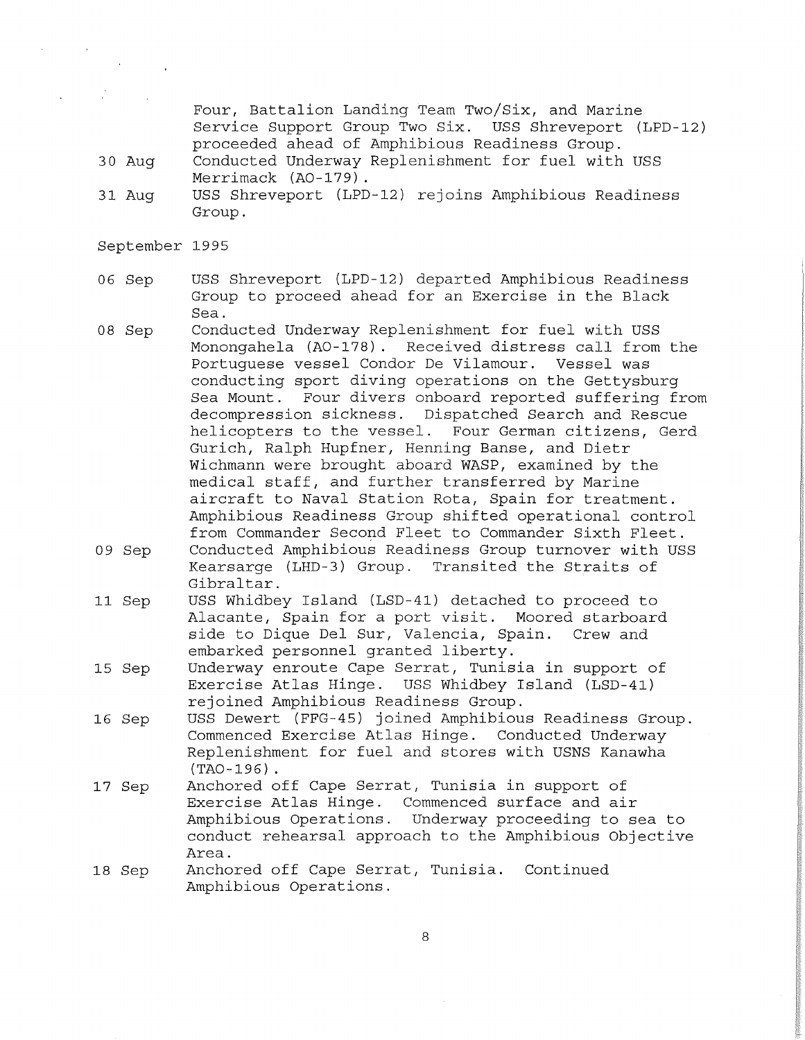Four, Battalion Landing Team Two/Six, and Marine Service Support Group Two Six. USS Shreveport (LPD-12) proceeded ahead of Amphibious Readiness Group.

- 30 Aug Conducted Underway Replenishment for fuel with USS Merrimack (A0-179).
- 31 Aug USS Shreveport (LPD-12) rejoins Amphibious Readiness Group.
- September 1995
- 06 Sep USS Shreveport (LPD-12) departed Amphibious Readiness Group to proceed ahead for an Exercise in the Black Sea.
- 08 Sep Conducted Underway Replenishment for fuel with USS Monongahela (A0-178). Received distress call from the Portuguese vessel Condor De Vilamour. conducting sport diving operations on the Gettysburg Sea Mount. Four divers onboard reported suffering from decompression sickness. Dispatched Search and Rescue<br>helicopters to the vessel. Four German citizens, Gere Four German citizens, Gerd Gurich, Ralph Hupfner, Henning Banse, and Dietr Wichmann were brought aboard WASP, examined by the medical staff, and further transferred by Marine aircraft to Naval Station Rota, Spain for treatment. Amphibious Readiness Group shifted operational control from Commander Second Fleet to Commander Sixth Fleet.
- 09 Sep Conducted Amphibious Readiness Group turnover with USS Kearsarge (LHD-3) Group. Transited the Straits of Gibraltar.
- 11 Sep USS Whidbey Island (LSD-41) detached to proceed to Alacante, Spain for a port visit. Moored starboard side to Dique Del Sur, Valencia, Spain. Crew and embarked personnel granted liberty.
- 15 Sep Underway enroute Cape Serrat, Tunisia in support of Exercise Atlas Hinge. USS Whidbey Island (LSD-41) rejoined Amphibious Readiness Group.
- 16 Sep USS Dewert (FFG-45) joined Amphibious Readiness Group. Commenced Exercise Atlas Hinge. Conducted Underway Replenishment for fuel and stores with USNS Kanawha (TA0-196) .
- 17 Sep Anchored off Cape Serrat, Tunisia in support of Exercise Atlas Hinge. Commenced surface and air Amphibious Operations. Underway proceeding to sea to conduct rehearsal approach to the Amphibious Objective Area.
- 18 Sep Anchored off Cape Serrat, Tunisia. Continued Amphibious Operations.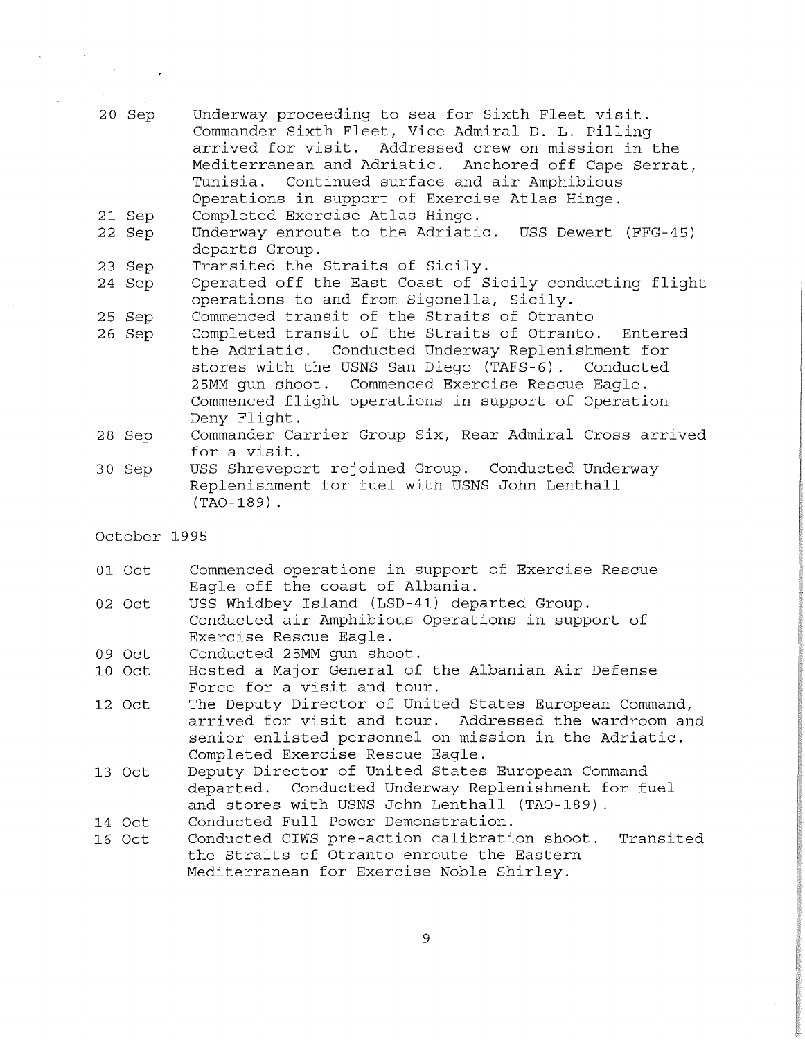- 20 Sep Underway proceeding to sea for Sixth Fleet visit. Commander Sixth Fleet, Vice Admiral D. L. Pilling arrived for visit. Addressed crew on mission in the Mediterranean and Adriatic. Anchored off Cape Serrat,<br>Tunisia. Continued surface and air Amphibious Continued surface and air Amphibious Operations in support of Exercise Atlas Hinge.
- 21 Sep Completed Exercise Atlas Hinge.
- 22 Sep Underway enroute to the Adriatic. USS Dewert (FFG-45) departs Group.
- 23 Sep Transited the Straits of Sicily.
- 24 Sep Operated off the East Coast of Sicily conducting flight operations to and from Sigonella, Sicily.
- 25 Sep Commenced transit of the Straits of Otranto
- 26 Sep Completed transit of the Straits of Otranto. Entered the Adriatic. Conducted Underway Replenishment for stores with the USNS San Diego (TAFS-6) . Conducted Commenced Exercise Rescue Eagle. Commenced flight operations in support of Operation Deny Flight.
- 28 Sep Commander Carrier Group Six, Rear Admiral Cross arrived for a visit.
- 30 Sep USS Shreveport rejoined Group. Conducted Underway Replenishment for fuel with USNS John Lenthall (TA0-189)
- October 1995
- 01 Oct Commenced operations in support of Exercise Rescue Eagle off the coast of Albania.
- 02 Oct USS Whidbey Island (LSD-41) departed Group. Conducted air Amphibious Operations in support of Exercise Rescue Eagle.
- 09 Oct Conducted 25MM gun shoot.
- 10 Oct Hosted a Major General of the Albanian Air Defense Force for a visit and tour.
- 12 Oct The Deputy Director of United States European Command, arrived for visit and tour. Addressed the wardroom and senior enlisted personnel on mission in the Adriatic. Completed Exercise Rescue Eagle.
- 13 Oct Deputy Director of United States European Command departed. Conducted Underway Replenishment for fuel and stores with USNS John Lenthall (TA0-189) .
- 14 Oct Conducted Full Power Demonstration.
- 16 Oct Conducted CIWS pre-action calibration shoot. Transited the Straits of Otranto enroute the Eastern Mediterranean for Exercise Noble Shirley.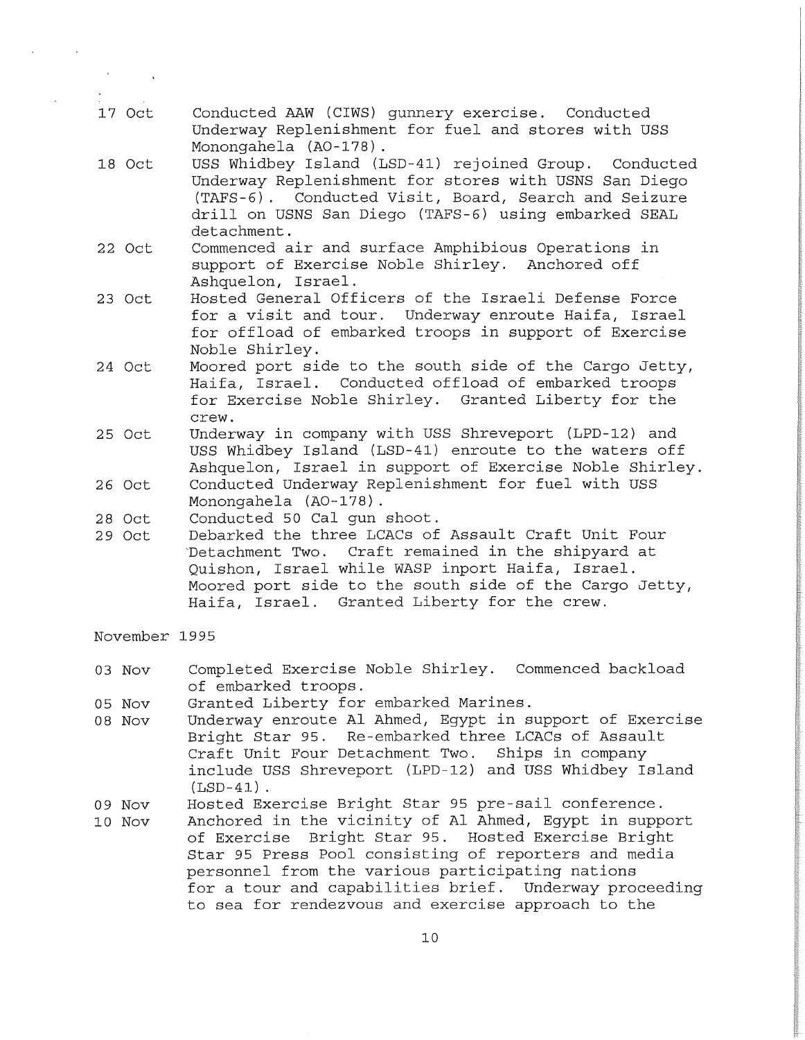- 17 Oct Conducted AAW (CIWS) gunnery exercise. Conducted Underway Replenishment for fuel and stores with USS Monongahela (A0-178).
- 18 Oct USS Whidbey Island (LSD-41) rejoined Group. Conducted Underway Replenishment for stores with USNS San Diego (TAFS-6). Conducted Visit, Board, Search and Seizure drill on USNS San Diego (TAFS-6) using embarked SEAL detachment.
- 22 Oct Commenced air and surf ace Amphibious Operations in support of Exercise Noble Shirley. Anchored off Ashquelon, Israel.
- 23 Oct Hosted General Officers of the Israeli Defense Force for a visit and tour. Underway enroute Haifa, Israel for offload of embarked troops in support of Exercise Noble Shirley.
- 24 Oct Moored port side to the south side of the Cargo Jetty, Haifa, Israel. Conducted offload of embarked troops for Exercise Noble Shirley. Granted Liberty for the crew.
- 25 Oct Underway in company with USS Shreveport (LPD-12) and USS Whidbey Island (LSD-41) enroute to the waters off Ashquelon, Israel in support of Exercise Noble Shirley.
- 26 Oct Conducted Underway Replenishment for fuel with USS Monongahela (A0-178).
- 28 Oct Conducted 50 Cal gun shoot.
- 29 Oct Debarked the three LCACs of Assault Craft Unit Four 'Detachment Two. Craft remained in the shipyard at Quishon, Israel while WASP inport Haifa, Israel. Moored port side to the south side of the Cargo Jetty, Haifa, Israel. Granted Liberty for the crew.

November 1995

- 03 Nov Completed Exercise Noble Shirley. Commenced backload of embarked troops.
- 05 Nov Granted Liberty for embarked Marines.
- 08 Nov Underway enroute Al Ahmed, Egypt in support of Exercise Bright Star 95. Re-embarked three LCACs of Assault Craft Unit Four Detachment Two. Ships in company include USS Shreveport (LPD-12) and USS Whidbey Island  $(LSD-41)$ .
- 09 Nov Hosted Exercise Bright Star 95 pre-sail conference.
- 10 Nov Anchored in the vicinity of Al Ahmed, Egypt in support of Exercise Bright Star 95. Hosted Exercise Bright Star 95 Press Pool consisting of reporters and media personnel from the various participating nations for a tour and capabilities brief. Underway proceeding to sea for rendezvous and exercise approach to the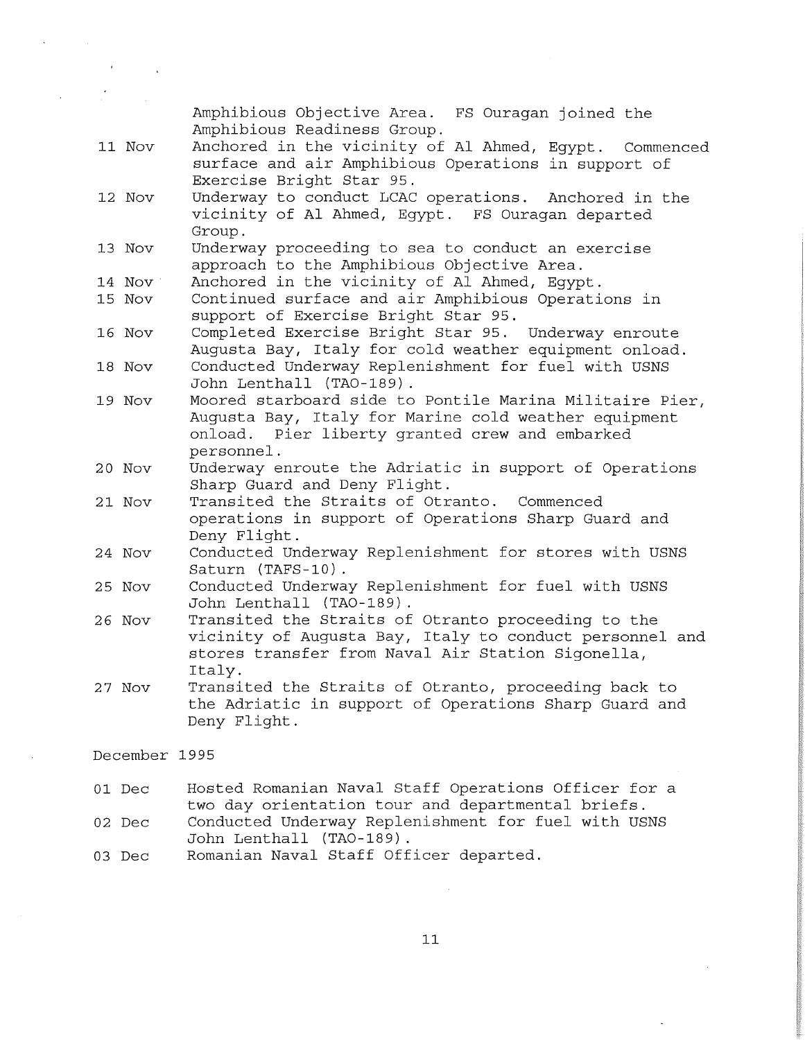11 Nov 12 Nov 13 Nov 14 Nov 15 Nov 16 Nov 18 Nov 19 Nov 20 Nov 21 Nov 24 Nov 25 Nov 26 Nov 27 Nov Amphibious Objective Area. FS Ouragan joined the Amphibious Readiness Group. Anchored in the vicinity of Al Ahmed, Egypt. Commenced surf ace and air Amphibious Operations in support of Exercise Bright Star 95. Underway to conduct LCAC operations. Anchored in the vicinity of Al Ahmed, Egypt. FS Ouragan departed Group. Underway proceeding to sea to conduct an exercise approach to the Amphibious Objective Area. Anchored in the vicinity of Al Ahmed, Egypt. Continued surface and air Amphibious Operations in support of Exercise Bright Star 95. Completed Exercise Bright Star 95. Underway enroute Augusta Bay, Italy for cold weather equipment onload. Conducted Underway Replenishment for fuel with USNS John Lenthall (TA0-189) . Moored starboard side to Pontile Marina Militaire Pier, Augusta Bay, Italy for Marine cold weather equipment onload. Pier liberty granted crew and embarked personnel. Underway enroute the Adriatic in support of Operations Sharp Guard and Deny Flight. Transited the Straits of Otranto. Commenced operations in support of Operations Sharp Guard and Deny Flight. Conducted Underway Replenishment for stores with USNS Saturn (TAFS-10). Conducted Underway Replenishment for fuel with USNS John Lenthall (TA0-189) . Transited the Straits of Otranto proceeding to the vicinity of Augusta Bay, Italy to conduct personnel and stores transfer from Naval Air Station Sigonella, Italy. Transited the Straits of Otranto, proceeding back to the Adriatic in support of Operations Sharp Guard and Deny Flight. December 1995 01 Dec Hosted Romanian Naval Staff Operations Officer for a two day orientation tour and departmental briefs.

02 Dec Conducted Underway Replenishment for fuel with USNS John Lenthall (TA0-189) .

03 Dec Romanian Naval Staff Officer departed.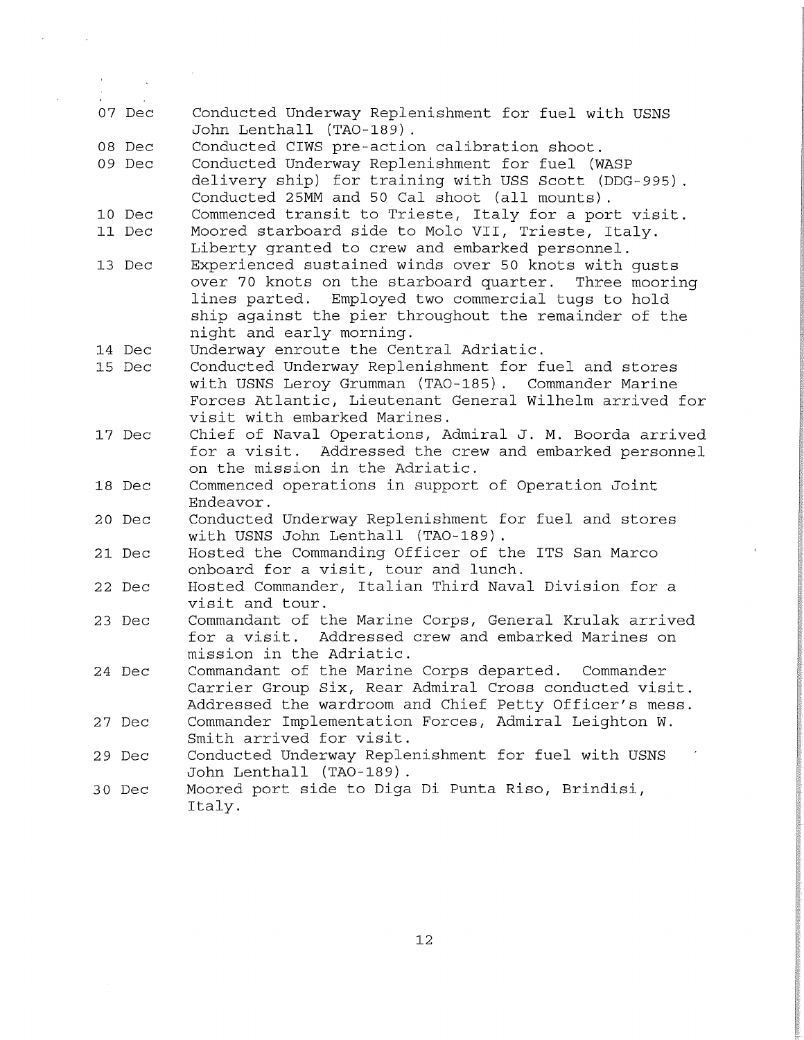| $\sim 100$ km s $^{-1}$ |                                                                                                                                                                                                                                                          |
|-------------------------|----------------------------------------------------------------------------------------------------------------------------------------------------------------------------------------------------------------------------------------------------------|
| 07 Dec                  | Conducted Underway Replenishment for fuel with USNS<br>John Lenthall (TAO-189).                                                                                                                                                                          |
| 08 Dec                  | Conducted CIWS pre-action calibration shoot.                                                                                                                                                                                                             |
| 09 Dec                  | Conducted Underway Replenishment for fuel (WASP<br>delivery ship) for training with USS Scott (DDG-995).<br>Conducted 25MM and 50 Cal shoot (all mounts).                                                                                                |
| 10 Dec                  | Commenced transit to Trieste, Italy for a port visit.                                                                                                                                                                                                    |
| 11 Dec                  | Moored starboard side to Molo VII, Trieste, Italy.<br>Liberty granted to crew and embarked personnel.                                                                                                                                                    |
| 13 Dec                  | Experienced sustained winds over 50 knots with gusts<br>over 70 knots on the starboard quarter. Three mooring<br>lines parted. Employed two commercial tugs to hold<br>ship against the pier throughout the remainder of the<br>night and early morning. |
| 14 Dec                  | Underway enroute the Central Adriatic.                                                                                                                                                                                                                   |
| 15 Dec                  | Conducted Underway Replenishment for fuel and stores<br>with USNS Leroy Grumman (TAO-185). Commander Marine<br>Forces Atlantic, Lieutenant General Wilhelm arrived for<br>visit with embarked Marines.                                                   |
| 17 Dec                  | Chief of Naval Operations, Admiral J. M. Boorda arrived<br>for a visit. Addressed the crew and embarked personnel<br>on the mission in the Adriatic.                                                                                                     |
| 18 Dec                  | Commenced operations in support of Operation Joint<br>Endeavor.                                                                                                                                                                                          |
| 20 Dec                  | Conducted Underway Replenishment for fuel and stores<br>with USNS John Lenthall (TAO-189).                                                                                                                                                               |
| 21 Dec                  | Hosted the Commanding Officer of the ITS San Marco<br>onboard for a visit, tour and lunch.                                                                                                                                                               |
| 22 Dec                  | Hosted Commander, Italian Third Naval Division for a<br>visit and tour.                                                                                                                                                                                  |
| 23 Dec                  | Commandant of the Marine Corps, General Krulak arrived<br>for a visit. Addressed crew and embarked Marines on<br>mission in the Adriatic.                                                                                                                |
| 24 Dec                  | Commandant of the Marine Corps departed. Commander<br>Carrier Group Six, Rear Admiral Cross conducted visit.<br>Addressed the wardroom and Chief Petty Officer's mess.                                                                                   |
| 27 Dec                  | Commander Implementation Forces, Admiral Leighton W.<br>Smith arrived for visit.                                                                                                                                                                         |
| 29 Dec                  | Conducted Underway Replenishment for fuel with USNS<br>John Lenthall (TAO-189).                                                                                                                                                                          |
| 30 Dec                  | Moored port side to Diga Di Punta Riso, Brindisi,<br>Italy.                                                                                                                                                                                              |

 $\overline{ }$ 

 $\bar{\mathcal{A}}$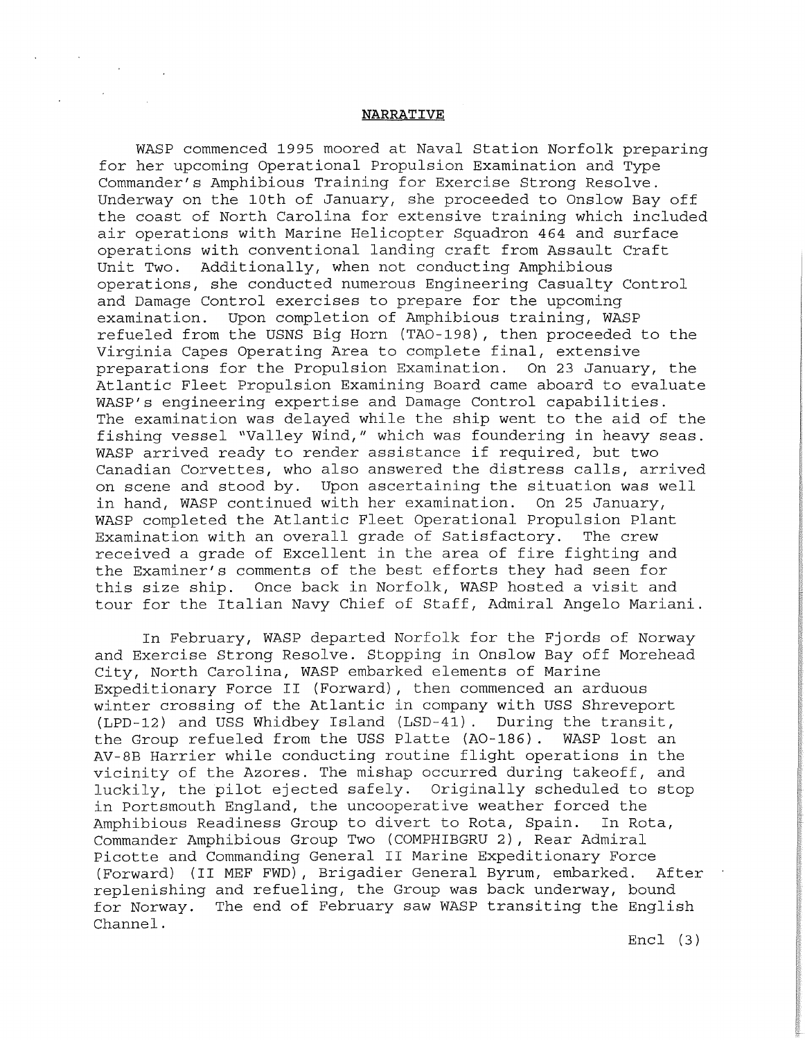### **NARRATIVE**

WASP commenced 1995 moored at Naval Station Norfolk preparing for her upcoming Operational Propulsion Examination and Type Commander's Amphibious Training for Exercise Strong Resolve. Underway on the 10th of January, she proceeded to Onslow Bay off the coast of North Carolina for extensive training which included air operations with Marine Helicopter Squadron 464 and surface operations with conventional landing craft from Assault Craft Unit Two. Additionally, when not conducting Amphibious operations, she conducted numerous Engineering Casualty Control and Damage Control exercises to prepare for the upcoming examination. Upon completion of Amphibious training, WASP refueled from the USNS Big Horn (TA0-198), then proceeded to the Virginia Capes Operating Area to complete final, extensive<br>preparations for the Propulsion Examination. On 23 January, the preparations for the Propulsion Examination. Atlantic Fleet Propulsion Examining Board came aboard to evaluate WASP's engineering expertise and Damage Control capabilities. The examination was delayed while the ship went to the aid of the fishing vessel "Valley Wind," which was foundering in heavy seas. WASP arrived ready to render assistance if required, but two Canadian Corvettes, who also answered the distress calls, arrived on scene and stood by. Upon ascertaining the situation was well in hand, WASP continued with her examination. On 25 January, WASP completed the Atlantic Fleet Operational Propulsion Plant Examination with an overall grade of Satisfactory. The crew received a grade of Excellent in the area of fire fighting and the Examiner's comments of the best efforts they had seen for this size ship. Once back in Norfolk, WASP hosted a visit and tour for the Italian Navy Chief of Staff, Admiral Angelo Mariani.

In February, WASP departed Norfolk for the Fjords of Norway and Exercise Strong Resolve. Stopping in Onslow Bay off Morehead City, North Carolina, WASP embarked elements of Marine Expeditionary Force II (Forward), then commenced an arduous winter crossing of the Atlantic in company with USS Shreveport (LPD-12) and USS Whidbey Island (LSD-41). During the transit, the Group refueled from the USS Platte (A0-186) . WASP lost an AV-8B Harrier while conducting routine flight operations in the vicinity of the Azores. The mishap occurred during takeoff, and luckily, the pilot ejected safely. Originally scheduled to stop in Portsmouth England, the uncooperative weather forced the<br>Amphibious Readiness Group to divert to Rota, Spain. In Rota, Amphibious Readiness Group to divert to Rota, Spain. Commander Amphibious Group Two (COMPHIBGRU 2), Rear Admiral Picotte and Commanding General II Marine Expeditionary Force<br>(Forward) (II MEF FWD), Brigadier General Byrum, embarked. After (Forward) (II MEF FWD), Brigadier General Byrum, embarked. replenishing and refueling, the Group was back underway, bound for Norway. The end of February saw WASP transiting the English Channel.

Encl (3)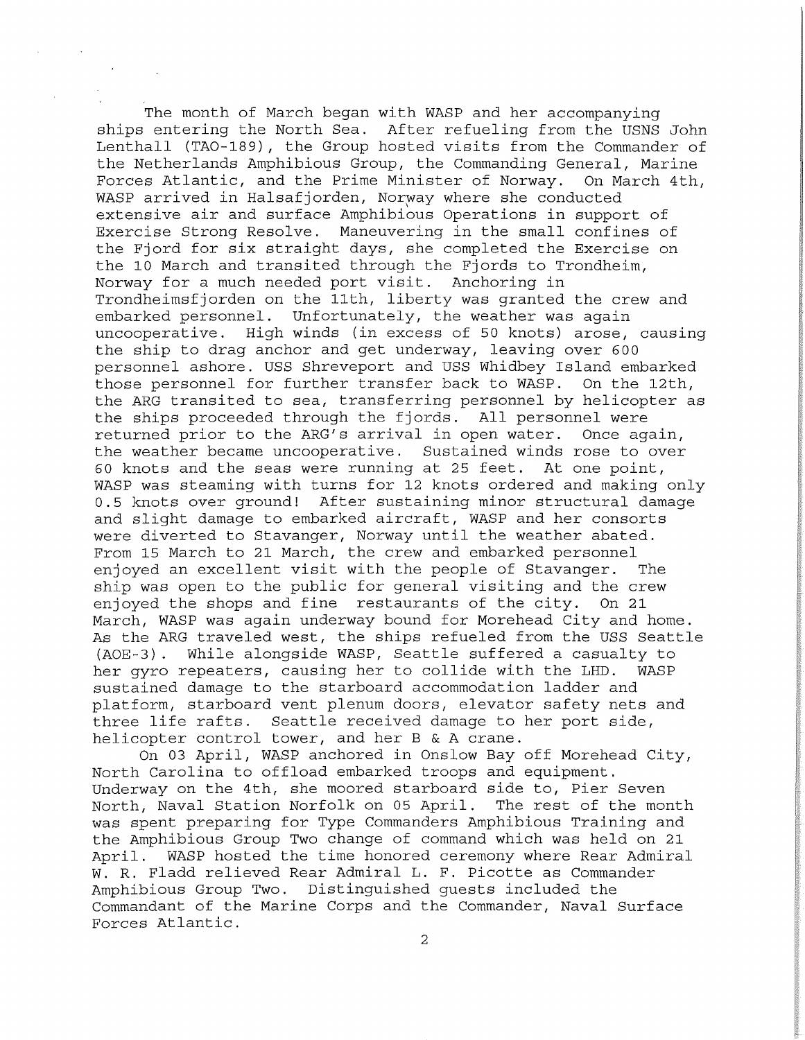The month of March began with WASP and her accompanying ships entering the North Sea. After refueling from the USNS John Lenthall (TA0-189), the Group hosted visits from the Commander of the Netherlands Amphibious Group, the Commanding General, Marine Forces Atlantic, and the Prime Minister of Norway. On March 4th, WASP arrived in Halsafjorden, Norway where she conducted extensive air and surface Amphibious Operations in support of Exercise Strong Resolve. Maneuvering in the small confines of the Fjord for six straight days, she completed the Exercise on the 10 March and transited through the Fjords to Trondheim, Norway for a much needed port visit. Anchoring in Trondheimsfjorden on the 11th, liberty was granted the crew and embarked personnel. Unfortunately, the weather was again<br>uncooperative. High winds (in excess of 50 knots) arose, High winds (in excess of 50 knots) arose, causing the ship to drag anchor and get underway, leaving over 600 personnel ashore. USS Shreveport and USS Whidbey Island embarked those personnel for further transfer back to WASP. On the 12th, the ARG transited to sea, transferring personnel by helicopter as the ships proceeded through the fjords. All personnel were returned prior to the ARG's arrival in open water. Once again, the weather became uncooperative. Sustained winds rose to over 60 knots and the seas were running at 25 feet. At one point, WASP was steaming with turns for 12 knots ordered and making only 0.5 knots over ground! After sustaining minor structural damage and slight damage to embarked aircraft, WASP and her consorts were diverted to Stavanger, Norway until the weather abated. From 15 March to 21 March, the crew and embarked personnel enjoyed an excellent visit with the people of Stavanger. The ship was open to the public for general visiting and the crew<br>enjoved the shops and fine restaurants of the city. On 21 enjoyed the shops and fine restaurants of the city. March, WASP was again underway bound for Morehead City and home. As the ARG traveled west, the ships refueled from the USS Seattle (AOE-3). While alongside WASP, Seattle suffered a casualty to While alongside WASP, Seattle suffered a casualty to repeaters, causing her to collide with the LHD. WASP her gyro repeaters, causing her to collide with the LHD. sustained damage to the starboard accommodation ladder and platform, starboard vent plenum doors, elevator safety nets and three life rafts. Seattle received damage to her port side, helicopter control tower, and her B & A crane.

On 03 April, WASP anchored in Onslow Bay off Morehead City, North Carolina to offload embarked troops and equipment. Underway on the 4th, she moored starboard side to, Pier Seven North, Naval Station Norfolk on 05 April. The rest of the month was spent preparing for Type Commanders Amphibious Training and the Amphibious Group Two change of command which was held on 21 April. WASP hosted the time honored ceremony where Rear Admiral W. R. Fladd relieved Rear Admiral L. F. Picotte as Commander Amphibious Group Two. Distinguished guests included the Commandant of the Marine Corps and the Commander, Naval Surface Forces Atlantic.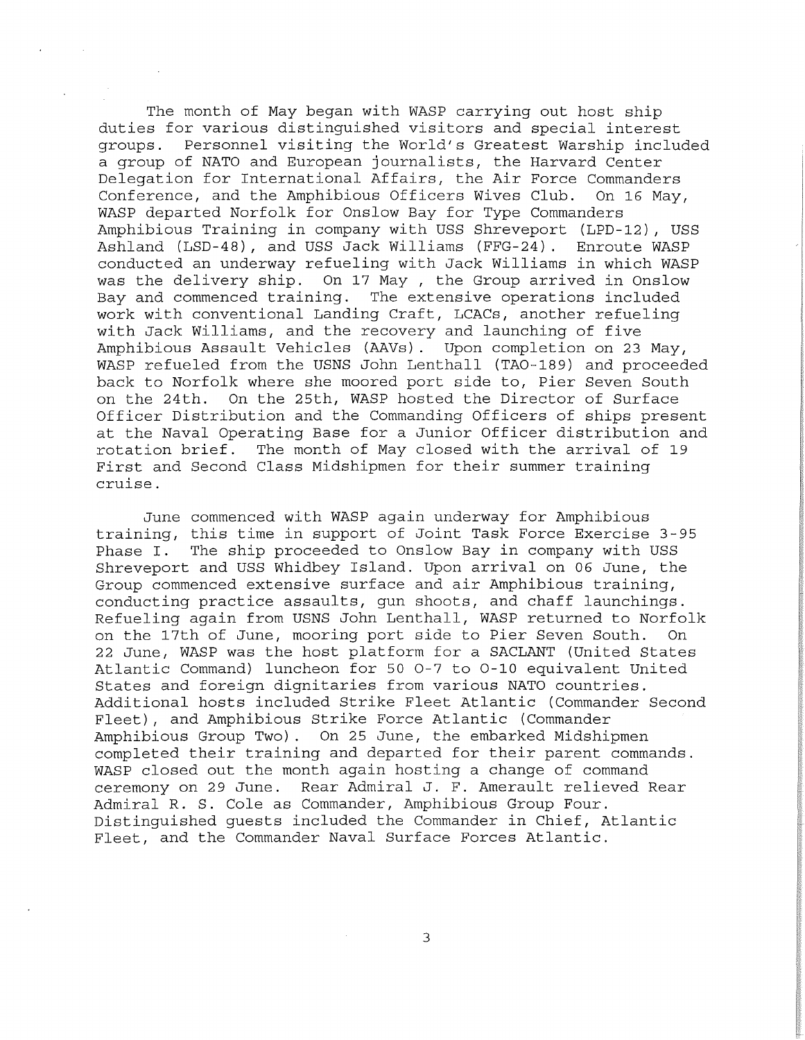The month of May began with WASP carrying out host ship duties for various distinguished visitors and special interest<br>groups. Personnel visiting the World's Greatest Warship inclue Personnel visiting the World's Greatest Warship included a group of NATO and European journalists, the Harvard Center Delegation for International Affairs, the Air Force Commanders Conference, and the Amphibious Officers Wives Club. On 16 May, WASP departed Norfolk for Onslow Bay for Type Commanders Amphibious Training in company with USS Shreveport (LPD-12), USS Ashland (LSD-48), and USS Jack Williams (FFG-24) . Enroute WASP conducted an underway refueling with Jack Williams in which WASP was the delivery ship. On 17 May , the Group arrived in Onslow Bay and commenced training. The extensive operations included work with conventional Landing Craft, LCACs, another refueling with Jack Williams, and the recovery and launching of five Amphibious Assault Vehicles (AAVs). Upon completion on 23 May, WASP refueled from the USNS John Lenthall (TA0-189) and proceeded back to Norfolk where she moored port side to, Pier Seven South on the 24th. On the 25th, WASP hosted the Director of Surface Officer Distribution and the Commanding Officers of ships present at the Naval Operating Base for a Junior Officer distribution and rotation brief. The month of May closed with the arrival of 19 First and Second Class Midshipmen for their summer training cruise.

June commenced with WASP again underway for Amphibious training, this time in support of Joint Task Force Exercise 3-95 Phase I. The ship proceeded to Onslow Bay in company with USS Shreveport and USS Whidbey Island. Upon arrival on 06 June, the Group commenced extensive surface and air Amphibious training, conducting practice assaults, gun shoots, and chaff launchings. Refueling again from USNS John Lenthall, WASP returned to Norfolk on the 17th of June, mooring port side to Pier Seven South. On 22 June, WASP was the host platform for a SACLANT (United States Atlantic Command) luncheon for 50 0-7 to 0-10 equivalent United States and foreign dignitaries from various NATO countries. Additional hosts included Strike Fleet Atlantic (Commander Second Fleet), and Amphibious Strike Force Atlantic (Commander Amphibious Group Two). On 25 June, the embarked Midshipmen completed their training and departed for their parent commands. WASP closed out the month again hosting a change of command ceremony on 29 June. Rear Admiral J. F. Amerault relieved Rear Admiral R. S. Cole as Commander, Amphibious Group Four. Distinguished guests included the Commander in Chief, Atlantic Fleet, and the Commander Naval Surface Forces Atlantic.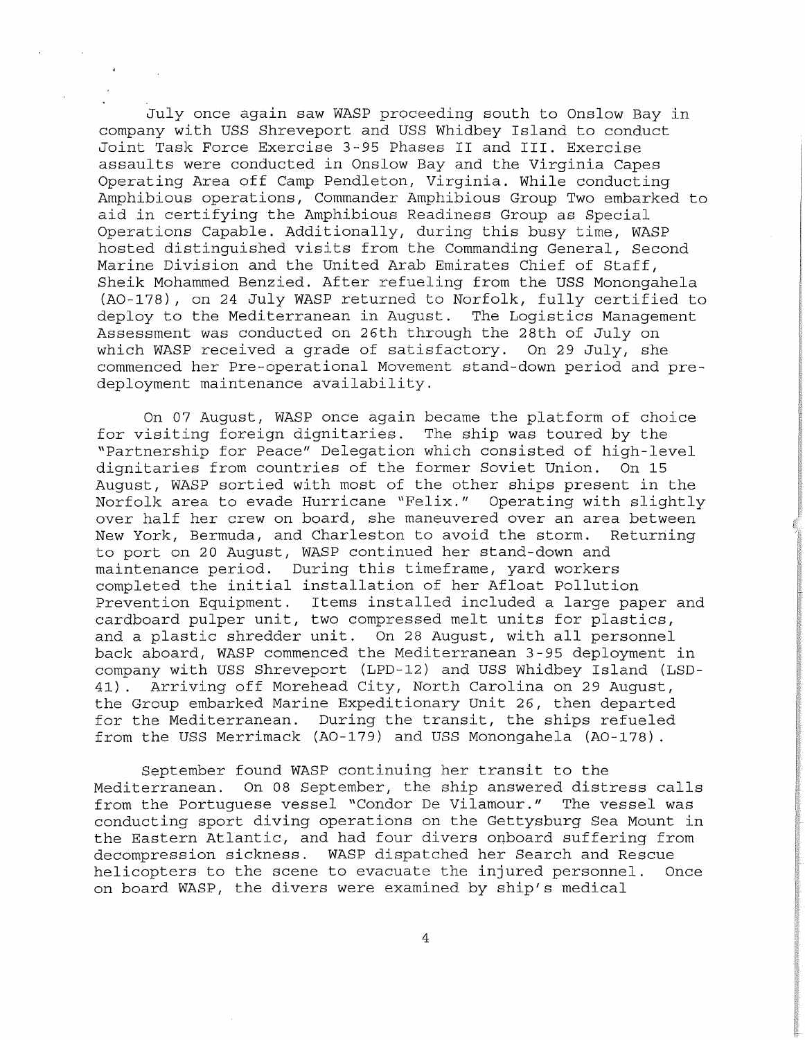July once again saw WASP proceeding south to Onslow Bay in company with USS Shreveport and USS Whidbey Island to conduct Joint Task Force Exercise 3-95 Phases II and III. Exercise assaults were conducted in Onslow Bay and the Virginia Capes Operating Area off Camp Pendleton, Virginia. While conducting Amphibious operations, Commander Amphibious Group Two embarked to aid in certifying the Amphibious Readiness Group as Special Operations Capable. Additionally, during this busy time, WASP hosted distinguished visits from the Commanding General, Second Marine Division and the United Arab Emirates Chief of Staff, Sheik Mohammed Benzied. After refueling from the USS Monongahela (A0-178), on 24 July WASP returned to Norfolk, fully certified to deploy to the Mediterranean in August. The Logistics Management Assessment was conducted on 26th through the 28th of July on which WASP received a grade of satisfactory. On 29 July, she commenced her Pre-operational Movement stand-down period and predeployment maintenance availability.

On 07 August, WASP once again became the platform of choice for visiting foreign dignitaries. The ship was toured by the "Partnership for Peace" Delegation which consisted of high-level dignitaries from countries of the former Soviet Union. On 15 August, WASP sortied with most of the other ships present in the Norfolk area to evade Hurricane "Felix." Operating with slightly over half her crew on board, she maneuvered over an area between New York, Bermuda, and Charleston to avoid the storm. Returning to port on 20 August, WASP continued her stand-down and maintenance period. During this timeframe, yard workers completed the initial installation of her Afloat Pollution Prevention Equipment. Items installed included a large paper and cardboard pulper unit, two compressed melt units for plastics, and a plastic shredder unit. On 28 August, with all personnel back aboard, WASP commenced the Mediterranean 3-95 deployment in company with USS Shreveport (LPD-12) and USS Whidbey Island (LSD-41) . Arriving off Morehead City, North Carolina on 29 August, the Group embarked Marine Expeditionary Unit 26, then departed for the Mediterranean. During the transit, the ships refueled from the USS Merrimack (A0-179) and USS Monongahela (A0-178).

September found WASP continuing her transit to the Mediterranean. On 08 September, the ship answered distress calls from the Portuguese vessel "Condor De Vilamour." The vessel was conducting sport diving operations on the Gettysburg Sea Mount in the Eastern Atlantic, and had four divers onboard suffering from decompression sickness. WASP dispatched her Search and Rescue helicopters to the scene to evacuate the injured personnel. Once on board WASP, the divers were examined by ship's medical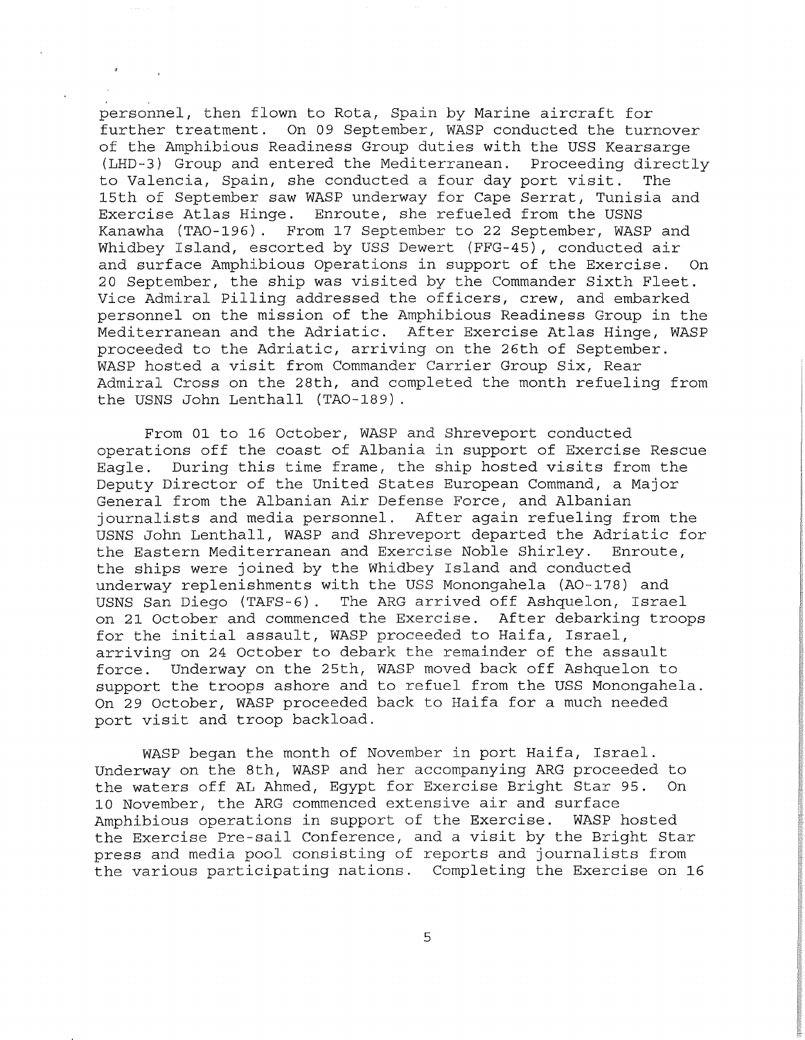' . personnel, then flown to Rota, Spain by Marine aircraft for further treatment. On 09 September, WASP conducted the turnover of the Amphibious Readiness Group duties with the USS Kearsarge (LHD-3) Group and entered the Mediterranean. Proceeding directly<br>to Valencia, Spain, she conducted a four day port visit. The to Valencia, Spain, she conducted a four day port visit. 15th of September saw WASP underway for Cape Serrat, Tunisia and Exercise Atlas Hinge. Enroute, she refueled from the USNS Kanawha (TA0-196). From 17 September to 22 September, WASP and Whidbey Island, escorted by USS Dewert (FFG-45), conducted air and surface Amphibious Operations in support of the Exercise. On 20 September, the ship was visited by the Commander Sixth Fleet. Vice Admiral Pilling addressed the officers, crew, and embarked personnel on the mission of the Amphibious Readiness Group in the Mediterranean and the Adriatic. After Exercise Atlas Hinge, WASP proceeded to the Adriatic, arriving on the 26th of September. WASP hosted a visit from Commander Carrier Group Six, Rear Admiral Cross on the 28th, and completed the month refueling from the USNS John Lenthall (TA0-189) .

From 01 to 16 October, WASP and Shreveport conducted operations off the coast of Albania in support of Exercise Rescue Eagle. During this time frame, the ship hosted visits from the Deputy Director of the United States European Command, a Major General from the Albanian Air Defense Force, and Albanian journalists and media personnel. After again refueling from the USNS John Lenthall, WASP and Shreveport departed the Adriatic for the Eastern Mediterranean and Exercise Noble Shirley. Enroute, the ships were joined by the Whidbey Island and conducted underway replenishments with the USS Monongahela (AO-178) and<br>USNS San Diego (TAFS-6). The ARG arrived off Ashquelon, Israe The ARG arrived off Ashquelon, Israel on 21 October and commenced the Exercise. After debarking troops for the initial assault, WASP proceeded to Haifa, Israel, arriving on 24 October to debark the remainder of the assault force. Underway on the 25th, WASP moved back off Ashquelon to support the troops ashore and to refuel from the USS Monongahela. On 29 October, WASP proceeded back to Haifa for a much needed port visit and troop backload.

WASP began the month of November in port Haifa, Israel. Underway on the 8th, WASP and her accompanying ARG proceeded to the waters off AL Ahmed, Egypt for Exercise Bright Star 95. On 10 November, the ARG commenced extensive air and surface<br>Amphibious operations in support of the Exercise. WASP hosted Amphibious operations in support of the Exercise. the Exercise Pre-sail Conference, and a visit by the Bright Star press and media pool consisting of reports and journalists from the various participating nations. Completing the Exercise on 16